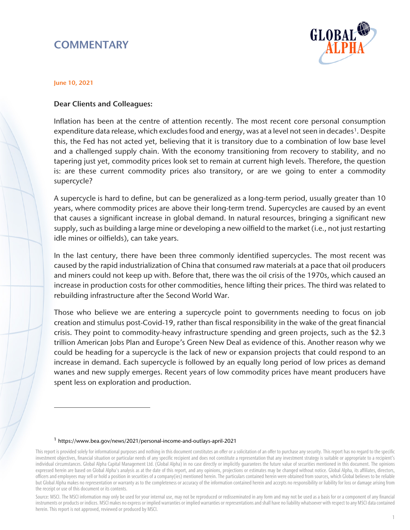# **COMMENTARY**



#### June 10, 2021

 $\overline{a}$ 

### Dear Clients and Colleagues:

Inflation has been at the centre of attention recently. The most recent core personal consumption expenditure data release, which excludes food and energy, was at a level not seen in decades<sup>1</sup>. Despite this, the Fed has not acted yet, believing that it is transitory due to a combination of low base level and a challenged supply chain. With the economy transitioning from recovery to stability, and no tapering just yet, commodity prices look set to remain at current high levels. Therefore, the question is: are these current commodity prices also transitory, or are we going to enter a commodity supercycle?

A supercycle is hard to define, but can be generalized as a long-term period, usually greater than 10 years, where commodity prices are above their long-term trend. Supercycles are caused by an event that causes a significant increase in global demand. In natural resources, bringing a significant new supply, such as building a large mine or developing a new oilfield to the market (i.e., not just restarting idle mines or oilfields), can take years.

In the last century, there have been three commonly identified supercycles. The most recent was caused by the rapid industrialization of China that consumed raw materials at a pace that oil producers and miners could not keep up with. Before that, there was the oil crisis of the 1970s, which caused an increase in production costs for other commodities, hence lifting their prices. The third was related to rebuilding infrastructure after the Second World War.

Those who believe we are entering a supercycle point to governments needing to focus on job creation and stimulus post-Covid-19, rather than fiscal responsibility in the wake of the great financial crisis. They point to commodity-heavy infrastructure spending and green projects, such as the \$2.3 trillion American Jobs Plan and Europe's Green New Deal as evidence of this. Another reason why we could be heading for a supercycle is the lack of new or expansion projects that could respond to an increase in demand. Each supercycle is followed by an equally long period of low prices as demand wanes and new supply emerges. Recent years of low commodity prices have meant producers have spent less on exploration and production.

#### <sup>1</sup> <https://www.bea.gov/news/2021/personal-income-and-outlays-april-2021>

<span id="page-0-0"></span>This report is provided solely for informational purposes and nothing in this document constitutes an offer or a solicitation of an offer to purchase any security. This report has no regard to the specific investment objectives, financial situation or particular needs of any specific recipient and does not constitute a representation that any investment strategy is suitable or appropriate to a recipient's individual circumstances. Global Alpha Capital Management Ltd. (Global Alpha) in no case directly or implicitly guarantees the future value of securities mentioned in this document. The opinions expressed herein are based on Global Alpha's analysis as at the date of this report, and any opinions, projections or estimates may be changed without notice. Global Alpha, its affiliates, directors, officers and employees may sell or hold a position in securities of a company(ies) mentioned herein. The particulars contained herein were obtained from sources, which Global believes to be reliable but Global Alpha makes no representation or warranty as to the completeness or accuracy of the information contained herein and accepts no responsibility or liability for loss or damage arising from the receipt or use of this document or its contents.

Source: MSCI. The MSCI information may only be used for your internal use, may not be reproduced or redisseminated in any form and may not be used as a basis for or a component of any financial instruments or products or indices. MSCI makes no express or implied warranties or implied warranties or representations and shall have no liability whatsoever with respect to any MSCI data contained herein. This report is not approved, reviewed or produced by MSCI.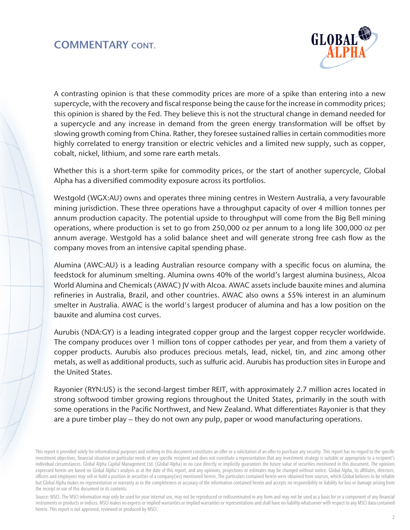### COMMENTARY CONT.



A contrasting opinion is that these commodity prices are more of a spike than entering into a new supercycle, with the recovery and fiscal response being the cause for the increase in commodity prices; this opinion is shared by the Fed. They believe this is not the structural change in demand needed for a supercycle and any increase in demand from the green energy transformation will be offset by slowing growth coming from China. Rather, they foresee sustained rallies in certain commodities more highly correlated to energy transition or electric vehicles and a limited new supply, such as copper, cobalt, nickel, lithium, and some rare earth metals.

Whether this is a short-term spike for commodity prices, or the start of another supercycle, Global Alpha has a diversified commodity exposure across its portfolios.

Westgold (WGX:AU) owns and operates three mining centres in Western Australia, a very favourable mining jurisdiction. These three operations have a throughput capacity of over 4 million tonnes per annum production capacity. The potential upside to throughput will come from the Big Bell mining operations, where production is set to go from 250,000 oz per annum to a long life 300,000 oz per annum average. Westgold has a solid balance sheet and will generate strong free cash flow as the company moves from an intensive capital spending phase.

Alumina (AWC:AU) is a leading Australian resource company with a specific focus on alumina, the feedstock for aluminum smelting. Alumina owns 40% of the world's largest alumina business, Alcoa World Alumina and Chemicals (AWAC) JV with Alcoa. AWAC assets include bauxite mines and alumina refineries in Australia, Brazil, and other countries. AWAC also owns a 55% interest in an aluminum smelter in Australia. AWAC is the world's largest producer of alumina and has a low position on the bauxite and alumina cost curves.

Aurubis (NDA:GY) is a leading integrated copper group and the largest copper recycler worldwide. The company produces over 1 million tons of copper cathodes per year, and from them a variety of copper products. Aurubis also produces precious metals, lead, nickel, tin, and zinc among other metals, as well as additional products, such as sulfuric acid. Aurubis has production sites in Europe and the United States.

Rayonier (RYN:US) is the second-largest timber REIT, with approximately 2.7 million acres located in strong softwood timber growing regions throughout the United States, primarily in the south with some operations in the Pacific Northwest, and New Zealand. What differentiates Rayonier is that they are a pure timber play – they do not own any pulp, paper or wood manufacturing operations.

Source: MSCI. The MSCI information may only be used for your internal use, may not be reproduced or redisseminated in any form and may not be used as a basis for or a component of any financial instruments or products or indices. MSCI makes no express or implied warranties or implied warranties or representations and shall have no liability whatsoever with respect to any MSCI data contained herein. This report is not approved, reviewed or produced by MSCI.

This report is provided solely for informational purposes and nothing in this document constitutes an offer or a solicitation of an offer to purchase any security. This report has no regard to the specific investment objectives, financial situation or particular needs of any specific recipient and does not constitute a representation that any investment strategy is suitable or appropriate to a recipient's individual circumstances. Global Alpha Capital Management Ltd. (Global Alpha) in no case directly or implicitly guarantees the future value of securities mentioned in this document. The opinions expressed herein are based on Global Alpha's analysis as at the date of this report, and any opinions, projections or estimates may be changed without notice. Global Alpha, its affiliates, directors, officers and employees may sell or hold a position in securities of a company(ies) mentioned herein. The particulars contained herein were obtained from sources, which Global believes to be reliable but Global Alpha makes no representation or warranty as to the completeness or accuracy of the information contained herein and accepts no responsibility or liability for loss or damage arising from the receipt or use of this document or its contents.